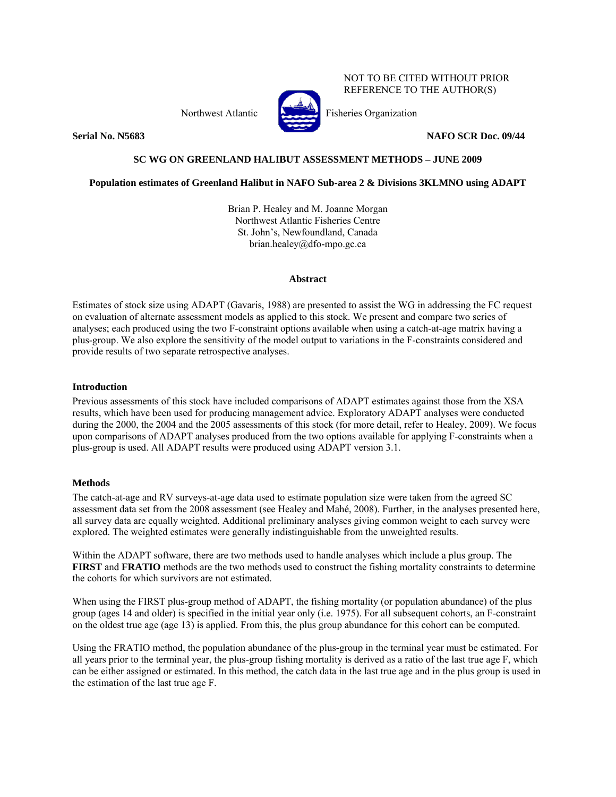Northwest Atlantic Fisheries Organization



NOT TO BE CITED WITHOUT PRIOR REFERENCE TO THE AUTHOR(S)

**Serial No. N5683** NAFO SCR Doc. 09/44

# **SC WG ON GREENLAND HALIBUT ASSESSMENT METHODS – JUNE 2009**

## **Population estimates of Greenland Halibut in NAFO Sub-area 2 & Divisions 3KLMNO using ADAPT**

Brian P. Healey and M. Joanne Morgan Northwest Atlantic Fisheries Centre St. John's, Newfoundland, Canada brian.healey@dfo-mpo.gc.ca

## **Abstract**

Estimates of stock size using ADAPT (Gavaris, 1988) are presented to assist the WG in addressing the FC request on evaluation of alternate assessment models as applied to this stock. We present and compare two series of analyses; each produced using the two F-constraint options available when using a catch-at-age matrix having a plus-group. We also explore the sensitivity of the model output to variations in the F-constraints considered and provide results of two separate retrospective analyses.

### **Introduction**

Previous assessments of this stock have included comparisons of ADAPT estimates against those from the XSA results, which have been used for producing management advice. Exploratory ADAPT analyses were conducted during the 2000, the 2004 and the 2005 assessments of this stock (for more detail, refer to Healey, 2009). We focus upon comparisons of ADAPT analyses produced from the two options available for applying F-constraints when a plus-group is used. All ADAPT results were produced using ADAPT version 3.1.

## **Methods**

The catch-at-age and RV surveys-at-age data used to estimate population size were taken from the agreed SC assessment data set from the 2008 assessment (see Healey and Mahé, 2008). Further, in the analyses presented here, all survey data are equally weighted. Additional preliminary analyses giving common weight to each survey were explored. The weighted estimates were generally indistinguishable from the unweighted results.

Within the ADAPT software, there are two methods used to handle analyses which include a plus group. The **FIRST** and **FRATIO** methods are the two methods used to construct the fishing mortality constraints to determine the cohorts for which survivors are not estimated.

When using the FIRST plus-group method of ADAPT, the fishing mortality (or population abundance) of the plus group (ages 14 and older) is specified in the initial year only (i.e. 1975). For all subsequent cohorts, an F-constraint on the oldest true age (age 13) is applied. From this, the plus group abundance for this cohort can be computed.

Using the FRATIO method, the population abundance of the plus-group in the terminal year must be estimated. For all years prior to the terminal year, the plus-group fishing mortality is derived as a ratio of the last true age F, which can be either assigned or estimated. In this method, the catch data in the last true age and in the plus group is used in the estimation of the last true age F.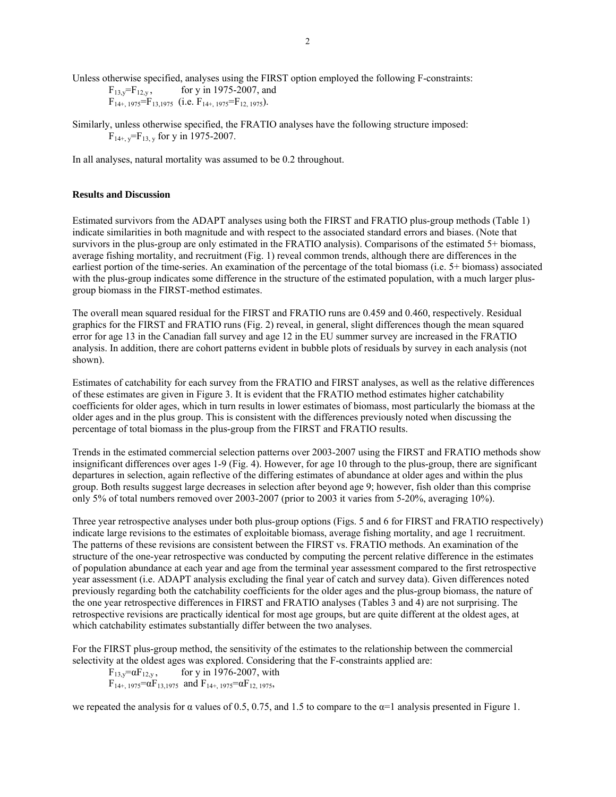Unless otherwise specified, analyses using the FIRST option employed the following F-constraints:<br> $F_{13,v} = F_{12,v}$ , for y in 1975-2007, and

for  $y$  in 1975-2007, and  $F_{14+$ , 1975<sup>=</sup> $F_{13,1975}$  (i.e.  $F_{14+$ , 1975<sup>=</sup> $F_{12,1975}$ ).

Similarly, unless otherwise specified, the FRATIO analyses have the following structure imposed:  $F_{14+,\nu}$ = $F_{13,\nu}$  for y in 1975-2007.

In all analyses, natural mortality was assumed to be 0.2 throughout.

#### **Results and Discussion**

Estimated survivors from the ADAPT analyses using both the FIRST and FRATIO plus-group methods (Table 1) indicate similarities in both magnitude and with respect to the associated standard errors and biases. (Note that survivors in the plus-group are only estimated in the FRATIO analysis). Comparisons of the estimated 5+ biomass, average fishing mortality, and recruitment (Fig. 1) reveal common trends, although there are differences in the earliest portion of the time-series. An examination of the percentage of the total biomass (i.e. 5+ biomass) associated with the plus-group indicates some difference in the structure of the estimated population, with a much larger plusgroup biomass in the FIRST-method estimates.

The overall mean squared residual for the FIRST and FRATIO runs are 0.459 and 0.460, respectively. Residual graphics for the FIRST and FRATIO runs (Fig. 2) reveal, in general, slight differences though the mean squared error for age 13 in the Canadian fall survey and age 12 in the EU summer survey are increased in the FRATIO analysis. In addition, there are cohort patterns evident in bubble plots of residuals by survey in each analysis (not shown).

Estimates of catchability for each survey from the FRATIO and FIRST analyses, as well as the relative differences of these estimates are given in Figure 3. It is evident that the FRATIO method estimates higher catchability coefficients for older ages, which in turn results in lower estimates of biomass, most particularly the biomass at the older ages and in the plus group. This is consistent with the differences previously noted when discussing the percentage of total biomass in the plus-group from the FIRST and FRATIO results.

Trends in the estimated commercial selection patterns over 2003-2007 using the FIRST and FRATIO methods show insignificant differences over ages 1-9 (Fig. 4). However, for age 10 through to the plus-group, there are significant departures in selection, again reflective of the differing estimates of abundance at older ages and within the plus group. Both results suggest large decreases in selection after beyond age 9; however, fish older than this comprise only 5% of total numbers removed over 2003-2007 (prior to 2003 it varies from 5-20%, averaging 10%).

Three year retrospective analyses under both plus-group options (Figs. 5 and 6 for FIRST and FRATIO respectively) indicate large revisions to the estimates of exploitable biomass, average fishing mortality, and age 1 recruitment. The patterns of these revisions are consistent between the FIRST vs. FRATIO methods. An examination of the structure of the one-year retrospective was conducted by computing the percent relative difference in the estimates of population abundance at each year and age from the terminal year assessment compared to the first retrospective year assessment (i.e. ADAPT analysis excluding the final year of catch and survey data). Given differences noted previously regarding both the catchability coefficients for the older ages and the plus-group biomass, the nature of the one year retrospective differences in FIRST and FRATIO analyses (Tables 3 and 4) are not surprising. The retrospective revisions are practically identical for most age groups, but are quite different at the oldest ages, at which catchability estimates substantially differ between the two analyses.

For the FIRST plus-group method, the sensitivity of the estimates to the relationship between the commercial selectivity at the oldest ages was explored. Considering that the F-constraints applied are:

 $F_{13,y} = \alpha F_{12,y}$ , for y in 1976-2007, with  $F_{14+$ , 1975= $\alpha F_{13,1975}$  and  $F_{14+}$ , 1975= $\alpha F_{12,1975}$ ,

we repeated the analysis for  $\alpha$  values of 0.5, 0.75, and 1.5 to compare to the  $\alpha$ =1 analysis presented in Figure 1.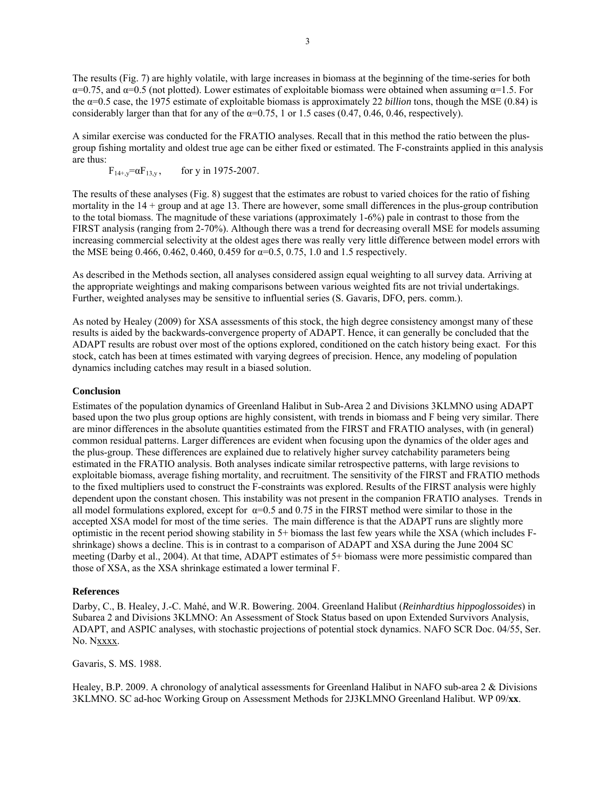The results (Fig. 7) are highly volatile, with large increases in biomass at the beginning of the time-series for both  $\alpha$ =0.75, and  $\alpha$ =0.5 (not plotted). Lower estimates of exploitable biomass were obtained when assuming  $\alpha$ =1.5. For the α=0.5 case, the 1975 estimate of exploitable biomass is approximately 22 *billion* tons, though the MSE (0.84) is considerably larger than that for any of the  $\alpha$ =0.75, 1 or 1.5 cases (0.47, 0.46, 0.46, respectively).

A similar exercise was conducted for the FRATIO analyses. Recall that in this method the ratio between the plusgroup fishing mortality and oldest true age can be either fixed or estimated. The F-constraints applied in this analysis are thus:

 $F_{14+,y} = \alpha F_{13,y}$ , for y in 1975-2007.

The results of these analyses (Fig. 8) suggest that the estimates are robust to varied choices for the ratio of fishing mortality in the  $14 +$  group and at age 13. There are however, some small differences in the plus-group contribution to the total biomass. The magnitude of these variations (approximately 1-6%) pale in contrast to those from the FIRST analysis (ranging from 2-70%). Although there was a trend for decreasing overall MSE for models assuming increasing commercial selectivity at the oldest ages there was really very little difference between model errors with the MSE being 0.466, 0.462, 0.460, 0.459 for  $\alpha=0.5$ , 0.75, 1.0 and 1.5 respectively.

As described in the Methods section, all analyses considered assign equal weighting to all survey data. Arriving at the appropriate weightings and making comparisons between various weighted fits are not trivial undertakings. Further, weighted analyses may be sensitive to influential series (S. Gavaris, DFO, pers. comm.).

As noted by Healey (2009) for XSA assessments of this stock, the high degree consistency amongst many of these results is aided by the backwards-convergence property of ADAPT. Hence, it can generally be concluded that the ADAPT results are robust over most of the options explored, conditioned on the catch history being exact. For this stock, catch has been at times estimated with varying degrees of precision. Hence, any modeling of population dynamics including catches may result in a biased solution.

### **Conclusion**

Estimates of the population dynamics of Greenland Halibut in Sub-Area 2 and Divisions 3KLMNO using ADAPT based upon the two plus group options are highly consistent, with trends in biomass and F being very similar. There are minor differences in the absolute quantities estimated from the FIRST and FRATIO analyses, with (in general) common residual patterns. Larger differences are evident when focusing upon the dynamics of the older ages and the plus-group. These differences are explained due to relatively higher survey catchability parameters being estimated in the FRATIO analysis. Both analyses indicate similar retrospective patterns, with large revisions to exploitable biomass, average fishing mortality, and recruitment. The sensitivity of the FIRST and FRATIO methods to the fixed multipliers used to construct the F-constraints was explored. Results of the FIRST analysis were highly dependent upon the constant chosen. This instability was not present in the companion FRATIO analyses. Trends in all model formulations explored, except for  $\alpha=0.5$  and 0.75 in the FIRST method were similar to those in the accepted XSA model for most of the time series. The main difference is that the ADAPT runs are slightly more optimistic in the recent period showing stability in 5+ biomass the last few years while the XSA (which includes Fshrinkage) shows a decline. This is in contrast to a comparison of ADAPT and XSA during the June 2004 SC meeting (Darby et al., 2004). At that time, ADAPT estimates of 5+ biomass were more pessimistic compared than those of XSA, as the XSA shrinkage estimated a lower terminal F.

#### **References**

Darby, C., B. Healey, J.-C. Mahé, and W.R. Bowering. 2004. Greenland Halibut (*Reinhardtius hippoglossoides*) in Subarea 2 and Divisions 3KLMNO: An Assessment of Stock Status based on upon Extended Survivors Analysis, ADAPT, and ASPIC analyses, with stochastic projections of potential stock dynamics. NAFO SCR Doc. 04/55, Ser. No. Nxxxx.

Gavaris, S. MS. 1988.

Healey, B.P. 2009. A chronology of analytical assessments for Greenland Halibut in NAFO sub-area 2 & Divisions 3KLMNO. SC ad-hoc Working Group on Assessment Methods for 2J3KLMNO Greenland Halibut. WP 09/**xx**.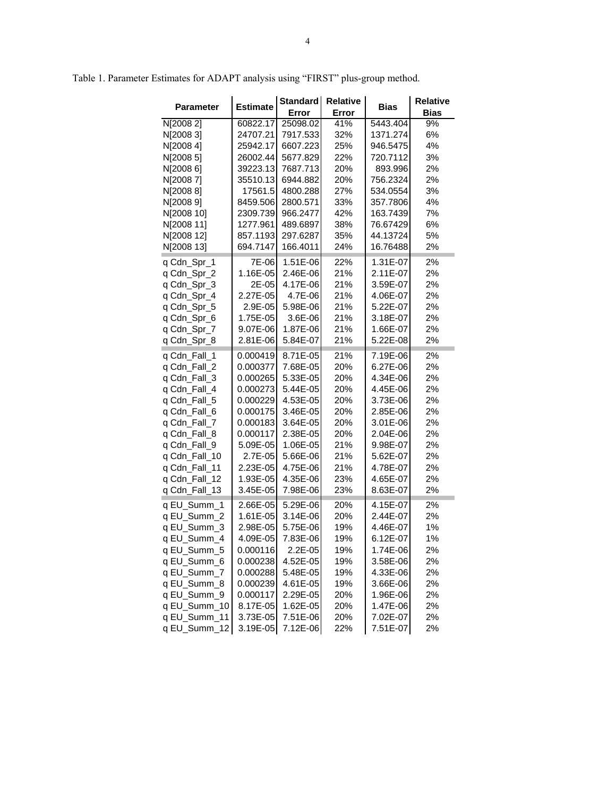| <b>Parameter</b> | <b>Estimate</b> | Standard<br>Error | Relative<br>Error | <b>Bias</b> | <b>Relative</b><br><b>Bias</b> |
|------------------|-----------------|-------------------|-------------------|-------------|--------------------------------|
| N[2008 2]        | 60822.17        | 25098.02          | 41%               | 5443.404    | 9%                             |
| N[2008 3]        | 24707.21        | 7917.533          | 32%               | 1371.274    | 6%                             |
| N[2008 4]        | 25942.17        | 6607.223          | 25%               | 946.5475    | 4%                             |
| NJ2008 51        | 26002.44        | 5677.829          | 22%               | 720.7112    | 3%                             |
| N[2008 6]        | 39223.13        | 7687.713          | 20%               | 893.996     | 2%                             |
| N[20087]         | 35510.13        | 6944.882          | 20%               | 756.2324    | 2%                             |
| N[20088]         | 17561.5         | 4800.288          | 27%               | 534.0554    | 3%                             |
| N[2008 9]        | 8459.506        | 2800.571          | 33%               | 357.7806    | 4%                             |
| N[2008 10]       | 2309.739        | 966.2477          | 42%               | 163.7439    | 7%                             |
| N[2008 11]       | 1277.961        | 489.6897          | 38%               | 76.67429    | 6%                             |
| N[2008 12]       | 857.1193        | 297.6287          | 35%               | 44.13724    | 5%                             |
| N[2008 13]       | 694.7147        | 166.4011          | 24%               | 16.76488    | 2%                             |
| q Cdn_Spr_1      | 7E-06           | 1.51E-06          | 22%               | 1.31E-07    | 2%                             |
| q Cdn_Spr_2      | 1.16E-05        | 2.46E-06          | 21%               | 2.11E-07    | 2%                             |
| q Cdn_Spr_3      | 2E-05           | 4.17E-06          | 21%               | 3.59E-07    | 2%                             |
| q Cdn_Spr_4      | 2.27E-05        | 4.7E-06           | 21%               | 4.06E-07    | 2%                             |
| q Cdn_Spr_5      | 2.9E-05         | 5.98E-06          | 21%               | 5.22E-07    | 2%                             |
| q Cdn_Spr_6      | 1.75E-05        | 3.6E-06           | 21%               | 3.18E-07    | 2%                             |
| q Cdn_Spr_7      | 9.07E-06        | 1.87E-06          | 21%               | 1.66E-07    | 2%                             |
| q Cdn_Spr_8      | 2.81E-06        | 5.84E-07          | 21%               | 5.22E-08    | 2%                             |
| q Cdn Fall 1     | 0.000419        | 8.71E-05          | 21%               | 7.19E-06    | 2%                             |
| q Cdn_Fall_2     | 0.000377        | 7.68E-05          | 20%               | 6.27E-06    | 2%                             |
| q Cdn_Fall_3     | 0.000265        | 5.33E-05          | 20%               | 4.34E-06    | 2%                             |
| g Cdn Fall 4     | 0.000273        | 5.44E-05          | 20%               | 4.45E-06    | 2%                             |
| q Cdn_Fall_5     | 0.000229        | 4.53E-05          | 20%               | 3.73E-06    | 2%                             |
| g Cdn Fall 6     | 0.000175        | 3.46E-05          | 20%               | 2.85E-06    | 2%                             |
| q Cdn_Fall_7     | 0.000183        | 3.64E-05          | 20%               | 3.01E-06    | 2%                             |
| q Cdn_Fall_8     | 0.000117        | 2.38E-05          | 20%               | 2.04E-06    | 2%                             |
| q Cdn_Fall_9     | 5.09E-05        | 1.06E-05          | 21%               | 9.98E-07    | 2%                             |
| q Cdn_Fall_10    | 2.7E-05         | 5.66E-06          | 21%               | 5.62E-07    | 2%                             |
| q Cdn_Fall_11    | 2.23E-05        | 4.75E-06          | 21%               | 4.78E-07    | 2%                             |
| q Cdn_Fall_12    | 1.93E-05        | 4.35E-06          | 23%               | 4.65E-07    | 2%                             |
| q Cdn_Fall_13    | 3.45E-05        | 7.98E-06          | 23%               | 8.63E-07    | 2%                             |
| q EU Summ 1      | 2.66E-05        | 5.29E-06          | 20%               | 4.15E-07    | 2%                             |
| q EU_Summ_2      | 1.61E-05        | 3.14E-06          | 20%               | 2.44E-07    | 2%                             |
| q EU_Summ_3      | 2.98E-05        | 5.75E-06          | 19%               | 4.46E-07    | 1%                             |
| q EU_Summ_4      | 4.09E-05        | 7.83E-06          | 19%               | 6.12E-07    | 1%                             |
| q EU_Summ_5      | 0.000116        | 2.2E-05           | 19%               | 1.74E-06    | 2%                             |
| q EU_Summ_6      | 0.000238        | 4.52E-05          | 19%               | 3.58E-06    | 2%                             |
| q EU_Summ_7      | 0.000288        | 5.48E-05          | 19%               | 4.33E-06    | 2%                             |
| q EU_Summ_8      | 0.000239        | 4.61E-05          | 19%               | 3.66E-06    | 2%                             |
| q EU_Summ_<br>9  | 0.000117        | 2.29E-05          | 20%               | 1.96E-06    | 2%                             |

q EU\_Summ\_10 8.17E-05 1.62E-05 20% 1.47E-06 2% q EU\_Summ\_11 3.73E-05 7.51E-06 20% 7.02E-07 2% q EU\_Summ\_12 3.19E-05 7.12E-06 22% 7.51E-07 2%

Table 1. Parameter Estimates for ADAPT analysis using "FIRST" plus-group method.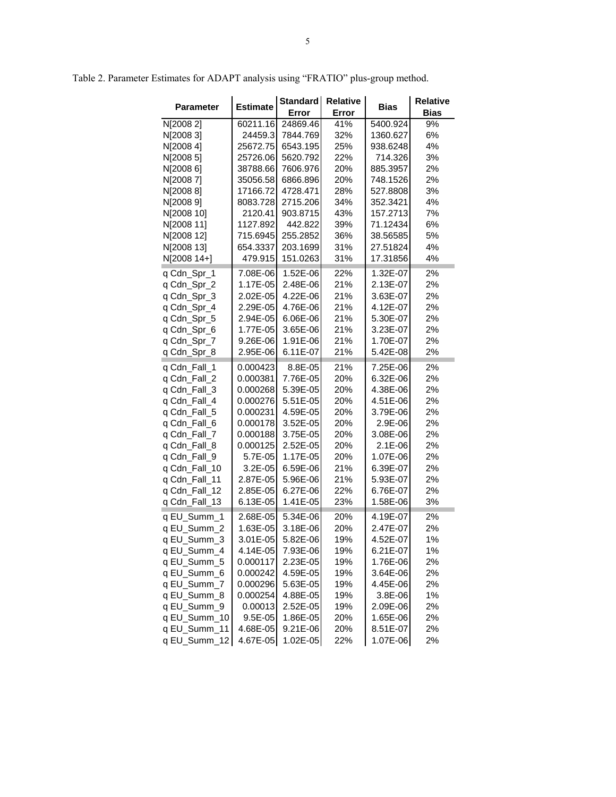| <b>Parameter</b> | <b>Estimate</b> | Standard<br>Error | <b>Relative</b><br>Error | Bias     | <b>Relative</b><br><b>Bias</b> |  |  |
|------------------|-----------------|-------------------|--------------------------|----------|--------------------------------|--|--|
| N[2008 2]        | 60211.16        | 24869.46          | 41%                      | 5400.924 | 9%                             |  |  |
| N[2008 3]        | 24459.3         | 7844.769          | 32%                      | 1360.627 | 6%                             |  |  |
| N[20084]         | 25672.75        | 6543.195          | 25%                      | 938.6248 | 4%                             |  |  |
| N[2008 5]        | 25726.06        | 5620.792          | 22%                      | 714.326  | 3%                             |  |  |
| N[2008 6]        | 38788.66        | 7606.976          | 20%                      | 885.3957 | 2%                             |  |  |
| N[20087]         | 35056.58        | 6866.896          | 20%                      | 748.1526 | 2%                             |  |  |
| N[20088]         | 17166.72        | 4728.471          | 28%                      | 527.8808 | 3%                             |  |  |
| N[2008 9]        | 8083.728        | 2715.206          | 34%                      | 352.3421 | 4%                             |  |  |
| N[2008 10]       | 2120.41         | 903.8715          | 43%                      | 157.2713 | 7%                             |  |  |
| N[2008 11]       | 1127.892        | 442.822           | 39%                      | 71.12434 | 6%                             |  |  |
| N[2008 12]       | 715.6945        | 255.2852          | 36%                      | 38.56585 | 5%                             |  |  |
| N[2008 13]       | 654.3337        | 203.1699          | 31%                      | 27.51824 | 4%                             |  |  |
| N[2008 14+]      | 479.915         | 151.0263          | 31%                      | 17.31856 | 4%                             |  |  |
| q Cdn_Spr_1      | 7.08E-06        | 1.52E-06          | 22%                      | 1.32E-07 | 2%                             |  |  |
| q Cdn_Spr_2      | 1.17E-05        | 2.48E-06          | 21%                      | 2.13E-07 | 2%                             |  |  |
| q Cdn_Spr_3      | 2.02E-05        | 4.22E-06          | 21%                      | 3.63E-07 | 2%                             |  |  |
| q Cdn_Spr_4      | 2.29E-05        | 4.76E-06          | 21%                      | 4.12E-07 | 2%                             |  |  |
| q Cdn_Spr_5      | 2.94E-05        | 6.06E-06          | 21%                      | 5.30E-07 | 2%                             |  |  |
| q Cdn_Spr_6      | 1.77E-05        | 3.65E-06          | 21%                      | 3.23E-07 | 2%                             |  |  |
| q Cdn_Spr_7      | 9.26E-06        | 1.91E-06          | 21%                      | 1.70E-07 | 2%                             |  |  |
| q Cdn_Spr_8      | 2.95E-06        | 6.11E-07          | 21%                      | 5.42E-08 | 2%                             |  |  |
| q Cdn_Fall_1     | 0.000423        | 8.8E-05           | 21%                      | 7.25E-06 | 2%                             |  |  |
| q Cdn_Fall_2     | 0.000381        | 7.76E-05          | 20%                      | 6.32E-06 | 2%                             |  |  |
| q Cdn_Fall_3     | 0.000268        | 5.39E-05          | 20%                      | 4.38E-06 | 2%                             |  |  |
| q Cdn_Fall_4     | 0.000276        | 5.51E-05          | 20%                      | 4.51E-06 | 2%                             |  |  |
| q Cdn_Fall_5     | 0.000231        | 4.59E-05          | 20%                      | 3.79E-06 | 2%                             |  |  |
| q Cdn_Fall_6     | 0.000178        | 3.52E-05          | 20%                      | 2.9E-06  | 2%                             |  |  |
| q Cdn_Fall_7     | 0.000188        | 3.75E-05          | 20%                      | 3.08E-06 | 2%                             |  |  |
| q Cdn_Fall_8     | 0.000125        | 2.52E-05          | 20%                      | 2.1E-06  | 2%                             |  |  |
| q Cdn_Fall_9     | 5.7E-05         | 1.17E-05          | 20%                      | 1.07E-06 | 2%                             |  |  |
| q Cdn_Fall_10    | 3.2E-05         | 6.59E-06          | 21%                      | 6.39E-07 | 2%                             |  |  |
| q Cdn_Fall_11    | 2.87E-05        | 5.96E-06          | 21%                      | 5.93E-07 | 2%                             |  |  |
| q Cdn_Fall_12    | 2.85E-05        | 6.27E-06          | 22%                      | 6.76E-07 | 2%                             |  |  |
| q Cdn_Fall_13    | 6.13E-05        | 1.41E-05          | 23%                      | 1.58E-06 | 3%                             |  |  |
| q EU_Summ_1      | 2.68E-05        | 5.34E-06          | 20%                      | 4.19E-07 | 2%                             |  |  |
| q EU_Summ_2      | 1.63E-05        | 3.18E-06          | 20%                      | 2.47E-07 | 2%                             |  |  |
| q EU_Summ_3      | 3.01E-05        | 5.82E-06          | 19%                      | 4.52E-07 | 1%                             |  |  |
| q EU_Summ_4      | 4.14E-05        | 7.93E-06          | 19%                      | 6.21E-07 | 1%                             |  |  |
| q EU_Summ_5      | 0.000117        | 2.23E-05          | 19%                      | 1.76E-06 | 2%                             |  |  |
| q EU_Summ_6      | 0.000242        | 4.59E-05          | 19%                      | 3.64E-06 | 2%                             |  |  |
| q EU_Summ_7      | 0.000296        | 5.63E-05          | 19%                      | 4.45E-06 | 2%                             |  |  |
| q EU_Summ_8      | 0.000254        | 4.88E-05          | 19%                      | 3.8E-06  | 1%                             |  |  |
| q EU_Summ_9      | 0.00013         | 2.52E-05          | 19%                      | 2.09E-06 | 2%                             |  |  |
| q EU_Summ_10     | 9.5E-05         | 1.86E-05          | 20%                      | 1.65E-06 | 2%                             |  |  |
| q EU_Summ_11     | 4.68E-05        | 9.21E-06          | 20%                      | 8.51E-07 | 2%                             |  |  |
| q EU_Summ_12     | 4.67E-05        | 1.02E-05          | 22%                      | 1.07E-06 | 2%                             |  |  |

Table 2. Parameter Estimates for ADAPT analysis using "FRATIO" plus-group method.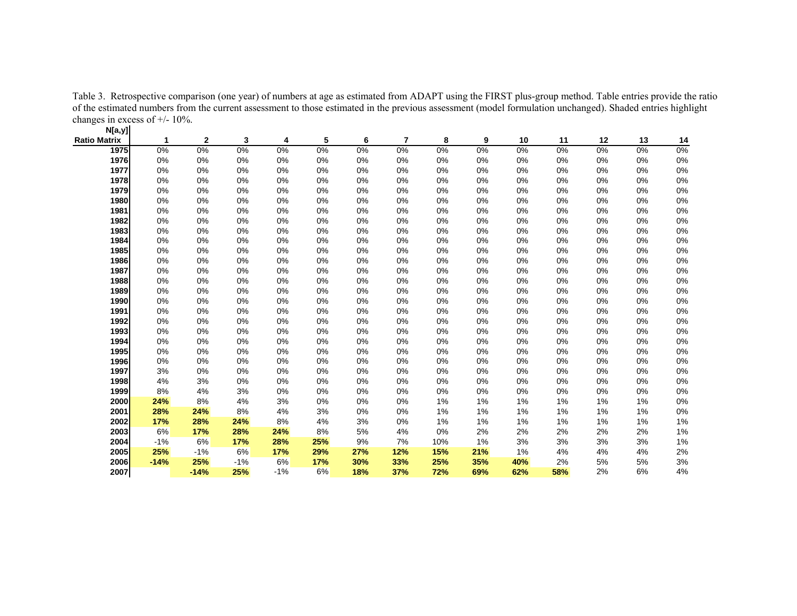Table 3. Retrospective comparison (one year) of numbers at age as estimated from ADAPT using the FIRST plus-group method. Table entries provide the ratio of the estimated numbers from the current assessment to those estimated in the previous assessment (model formulation unchanged). Shaded entries highlight changes in excess of  $+/- 10\%$ .

| N[a,y]       |        |              |       |            |       |       |                |       |     |       |       |       |       |       |
|--------------|--------|--------------|-------|------------|-------|-------|----------------|-------|-----|-------|-------|-------|-------|-------|
| Ratio Matrix | 1      | $\mathbf{2}$ | 3     | 4          | 5     | 6     | $\overline{7}$ | 8     | 9   | 10    | 11    | 12    | 13    | 14    |
| 1975         | 0%     | $0\%$        | $0\%$ | $0\%$      | $0\%$ | $0\%$ | $0\%$          | $0\%$ | 0%  | $0\%$ | $0\%$ | $0\%$ | $0\%$ | $0\%$ |
| 1976         | 0%     | 0%           | 0%    | 0%         | 0%    | 0%    | 0%             | 0%    | 0%  | 0%    | 0%    | 0%    | 0%    | 0%    |
| 1977         | 0%     | 0%           | 0%    | 0%         | 0%    | 0%    | 0%             | 0%    | 0%  | 0%    | 0%    | 0%    | 0%    | 0%    |
| 1978         | 0%     | 0%           | 0%    | 0%         | 0%    | 0%    | 0%             | 0%    | 0%  | 0%    | 0%    | 0%    | 0%    | 0%    |
| 1979         | 0%     | 0%           | 0%    | 0%         | 0%    | 0%    | 0%             | 0%    | 0%  | 0%    | 0%    | 0%    | 0%    | 0%    |
| 1980         | 0%     | 0%           | 0%    | 0%         | 0%    | 0%    | 0%             | 0%    | 0%  | 0%    | 0%    | 0%    | 0%    | 0%    |
| 1981         | 0%     | 0%           | 0%    | 0%         | 0%    | 0%    | 0%             | 0%    | 0%  | 0%    | 0%    | 0%    | 0%    | 0%    |
| 1982         | 0%     | 0%           | 0%    | 0%         | 0%    | 0%    | 0%             | 0%    | 0%  | 0%    | 0%    | 0%    | 0%    | 0%    |
| 1983         | 0%     | 0%           | 0%    | 0%         | 0%    | 0%    | 0%             | 0%    | 0%  | 0%    | 0%    | 0%    | 0%    | 0%    |
| 1984         | 0%     | 0%           | 0%    | 0%         | 0%    | 0%    | 0%             | 0%    | 0%  | 0%    | 0%    | 0%    | 0%    | 0%    |
| 1985         | 0%     | 0%           | 0%    | 0%         | 0%    | 0%    | 0%             | 0%    | 0%  | 0%    | 0%    | 0%    | 0%    | 0%    |
| 1986         | 0%     | 0%           | 0%    | 0%         | 0%    | 0%    | 0%             | 0%    | 0%  | 0%    | 0%    | 0%    | 0%    | 0%    |
| 1987         | 0%     | 0%           | 0%    | 0%         | 0%    | 0%    | 0%             | 0%    | 0%  | 0%    | 0%    | 0%    | 0%    | $0\%$ |
| 1988         | 0%     | 0%           | 0%    | 0%         | 0%    | 0%    | 0%             | 0%    | 0%  | 0%    | 0%    | 0%    | 0%    | 0%    |
| 1989         | 0%     | 0%           | 0%    | $0\%$      | 0%    | 0%    | $0\%$          | 0%    | 0%  | 0%    | 0%    | 0%    | 0%    | 0%    |
| 1990         | 0%     | 0%           | 0%    | 0%         | 0%    | 0%    | 0%             | 0%    | 0%  | 0%    | 0%    | 0%    | 0%    | 0%    |
| 1991         | 0%     | 0%           | 0%    | 0%         | 0%    | 0%    | 0%             | 0%    | 0%  | 0%    | 0%    | 0%    | 0%    | 0%    |
| 1992         | 0%     | 0%           | 0%    | 0%         | 0%    | 0%    | 0%             | 0%    | 0%  | 0%    | 0%    | 0%    | 0%    | 0%    |
| 1993         | 0%     | 0%           | 0%    | 0%         | 0%    | 0%    | 0%             | 0%    | 0%  | 0%    | 0%    | 0%    | 0%    | $0\%$ |
| 1994         | 0%     | 0%           | 0%    | 0%         | 0%    | 0%    | 0%             | 0%    | 0%  | 0%    | 0%    | 0%    | 0%    | 0%    |
| 1995         | 0%     | 0%           | 0%    | $0\%$      | 0%    | 0%    | $0\%$          | 0%    | 0%  | 0%    | 0%    | 0%    | 0%    | 0%    |
| 1996         | 0%     | 0%           | 0%    | 0%         | 0%    | 0%    | 0%             | 0%    | 0%  | 0%    | 0%    | 0%    | 0%    | 0%    |
| 1997         | 3%     | 0%           | 0%    | $0\%$      | 0%    | 0%    | 0%             | 0%    | 0%  | 0%    | 0%    | 0%    | 0%    | 0%    |
| 1998         | 4%     | 3%           | 0%    | 0%         | 0%    | 0%    | 0%             | 0%    | 0%  | 0%    | 0%    | 0%    | 0%    | 0%    |
| 1999         | 8%     | 4%           | 3%    | 0%         | 0%    | 0%    | 0%             | 0%    | 0%  | 0%    | 0%    | 0%    | 0%    | $0\%$ |
| 2000         | 24%    | 8%           | 4%    | 3%         | 0%    | 0%    | $0\%$          | 1%    | 1%  | 1%    | 1%    | 1%    | 1%    | $0\%$ |
| 2001         | 28%    | 24%          | 8%    | 4%         | 3%    | 0%    | $0\%$          | $1\%$ | 1%  | 1%    | 1%    | 1%    | 1%    | 0%    |
| 2002         | 17%    | 28%          | 24%   | 8%         | 4%    | 3%    | 0%             | 1%    | 1%  | 1%    | 1%    | 1%    | 1%    | $1\%$ |
| 2003         | 6%     | 17%          | 28%   | 24%        | 8%    | 5%    | 4%             | 0%    | 2%  | 2%    | 2%    | 2%    | 2%    | 1%    |
| 2004         | $-1%$  | 6%           | 17%   | 28%        | 25%   | 9%    | 7%             | 10%   | 1%  | 3%    | 3%    | 3%    | 3%    | 1%    |
| 2005         | 25%    | $-1%$        | 6%    | <b>17%</b> | 29%   | 27%   | 12%            | 15%   | 21% | 1%    | 4%    | 4%    | 4%    | 2%    |
| 2006         | $-14%$ | 25%          | $-1%$ | 6%         | 17%   | 30%   | 33%            | 25%   | 35% | 40%   | 2%    | 5%    | $5\%$ | 3%    |
| 2007         |        | $-14%$       | 25%   | $-1%$      | 6%    | 18%   | 37%            | 72%   | 69% | 62%   | 58%   | 2%    | 6%    | 4%    |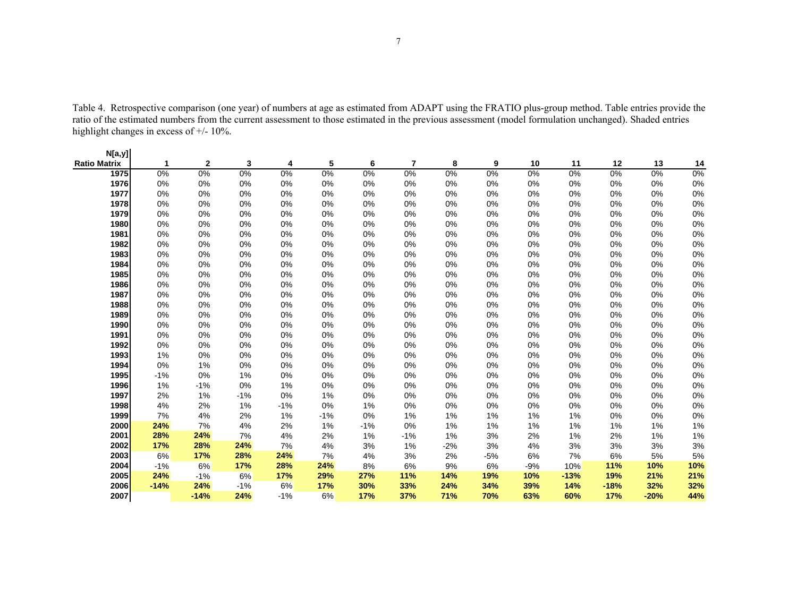Table 4. Retrospective comparison (one year) of numbers at age as estimated from ADAPT using the FRATIO plus-group method. Table entries provide the ratio of the estimated numbers from the current assessment to those estimated in the previous assessment (model formulation unchanged). Shaded entries highlight changes in excess of +/- 10%.

| N[a,y]       |        |              |       |       |       |       |       |       |       |       |        |        |        |       |
|--------------|--------|--------------|-------|-------|-------|-------|-------|-------|-------|-------|--------|--------|--------|-------|
| Ratio Matrix | 1      | $\mathbf{2}$ | 3     | 4     | 5     | 6     | 7     | 8     | 9     | 10    | 11     | 12     | 13     | 14    |
| 1975         | 0%     | 0%           | $0\%$ | 0%    | $0\%$ | $0\%$ | 0%    | 0%    | 0%    | 0%    | 0%     | $0\%$  | $0\%$  | 0%    |
| 1976         | $0\%$  | 0%           | 0%    | 0%    | 0%    | 0%    | 0%    | $0\%$ | 0%    | $0\%$ | 0%     | 0%     | 0%     | 0%    |
| 1977         | 0%     | 0%           | 0%    | 0%    | 0%    | 0%    | 0%    | 0%    | 0%    | 0%    | 0%     | 0%     | 0%     | 0%    |
| 1978         | 0%     | 0%           | $0\%$ | 0%    | 0%    | 0%    | 0%    | $0\%$ | 0%    | $0\%$ | 0%     | $0\%$  | 0%     | 0%    |
| 1979         | 0%     | 0%           | 0%    | 0%    | 0%    | 0%    | 0%    | 0%    | 0%    | 0%    | 0%     | 0%     | 0%     | 0%    |
| 1980         | 0%     | 0%           | 0%    | 0%    | 0%    | 0%    | 0%    | 0%    | 0%    | 0%    | 0%     | $0\%$  | 0%     | $0\%$ |
| 1981         | 0%     | 0%           | 0%    | 0%    | 0%    | 0%    | 0%    | $0\%$ | 0%    | $0\%$ | 0%     | 0%     | 0%     | 0%    |
| 1982         | 0%     | 0%           | 0%    | 0%    | 0%    | 0%    | 0%    | 0%    | 0%    | 0%    | 0%     | 0%     | 0%     | 0%    |
| 1983         | 0%     | 0%           | 0%    | 0%    | 0%    | 0%    | 0%    | $0\%$ | 0%    | $0\%$ | 0%     | 0%     | 0%     | $0\%$ |
| 1984         | 0%     | 0%           | 0%    | 0%    | 0%    | 0%    | 0%    | 0%    | 0%    | 0%    | 0%     | 0%     | 0%     | 0%    |
| 1985         | $0\%$  | 0%           | 0%    | 0%    | 0%    | $0\%$ | 0%    | $0\%$ | 0%    | $0\%$ | 0%     | 0%     | 0%     | 0%    |
| 1986         | 0%     | 0%           | 0%    | 0%    | 0%    | 0%    | 0%    | 0%    | 0%    | 0%    | 0%     | 0%     | 0%     | 0%    |
| 1987         | 0%     | 0%           | 0%    | 0%    | 0%    | 0%    | 0%    | 0%    | 0%    | 0%    | 0%     | 0%     | 0%     | 0%    |
| 1988         | 0%     | 0%           | 0%    | 0%    | 0%    | 0%    | 0%    | 0%    | 0%    | $0\%$ | 0%     | 0%     | 0%     | 0%    |
| 1989         | 0%     | 0%           | 0%    | 0%    | 0%    | 0%    | 0%    | 0%    | 0%    | 0%    | 0%     | 0%     | 0%     | 0%    |
| 1990         | 0%     | 0%           | 0%    | 0%    | 0%    | 0%    | 0%    | 0%    | 0%    | 0%    | 0%     | 0%     | 0%     | 0%    |
| 1991         | 0%     | 0%           | 0%    | 0%    | 0%    | 0%    | 0%    | 0%    | 0%    | $0\%$ | 0%     | 0%     | 0%     | 0%    |
| 1992         | 0%     | 0%           | 0%    | 0%    | 0%    | 0%    | 0%    | 0%    | 0%    | 0%    | 0%     | 0%     | 0%     | 0%    |
| 1993         | $1\%$  | 0%           | $0\%$ | 0%    | 0%    | 0%    | 0%    | $0\%$ | 0%    | $0\%$ | 0%     | $0\%$  | 0%     | 0%    |
| 1994         | 0%     | 1%           | 0%    | 0%    | 0%    | 0%    | 0%    | 0%    | 0%    | 0%    | 0%     | 0%     | 0%     | 0%    |
| 1995         | $-1%$  | 0%           | 1%    | 0%    | 0%    | 0%    | 0%    | 0%    | 0%    | 0%    | 0%     | 0%     | 0%     | 0%    |
| 1996         | 1%     | $-1%$        | $0\%$ | 1%    | 0%    | 0%    | 0%    | $0\%$ | 0%    | $0\%$ | 0%     | 0%     | 0%     | $0\%$ |
| 1997         | 2%     | 1%           | $-1%$ | 0%    | 1%    | 0%    | 0%    | 0%    | 0%    | 0%    | 0%     | 0%     | 0%     | 0%    |
| 1998         | 4%     | 2%           | 1%    | $-1%$ | 0%    | 1%    | 0%    | $0\%$ | 0%    | $0\%$ | 0%     | 0%     | 0%     | $0\%$ |
| 1999         | 7%     | 4%           | 2%    | 1%    | $-1%$ | 0%    | 1%    | $1\%$ | 1%    | 1%    | 1%     | 0%     | 0%     | 0%    |
| 2000         | 24%    | 7%           | 4%    | 2%    | 1%    | $-1%$ | 0%    | $1\%$ | 1%    | 1%    | 1%     | 1%     | 1%     | 1%    |
| 2001         | 28%    | 24%          | 7%    | 4%    | 2%    | 1%    | $-1%$ | $1\%$ | 3%    | 2%    | 1%     | 2%     | 1%     | 1%    |
| 2002         | 17%    | 28%          | 24%   | 7%    | 4%    | 3%    | 1%    | $-2%$ | 3%    | 4%    | 3%     | 3%     | 3%     | 3%    |
| 2003         | 6%     | 17%          | 28%   | 24%   | 7%    | 4%    | 3%    | 2%    | $-5%$ | 6%    | 7%     | 6%     | 5%     | $5\%$ |
| 2004         | $-1%$  | 6%           | 17%   | 28%   | 24%   | 8%    | 6%    | $9\%$ | 6%    | $-9%$ | 10%    | 11%    | 10%    | 10%   |
| 2005         | 24%    | $-1%$        | 6%    | 17%   | 29%   | 27%   | 11%   | 14%   | 19%   | 10%   | $-13%$ | 19%    | 21%    | 21%   |
| 2006         | $-14%$ | 24%          | $-1%$ | 6%    | 17%   | 30%   | 33%   | 24%   | 34%   | 39%   | 14%    | $-18%$ | 32%    | 32%   |
| 2007         |        | $-14%$       | 24%   | $-1%$ | 6%    | 17%   | 37%   | 71%   | 70%   | 63%   | 60%    | 17%    | $-20%$ | 44%   |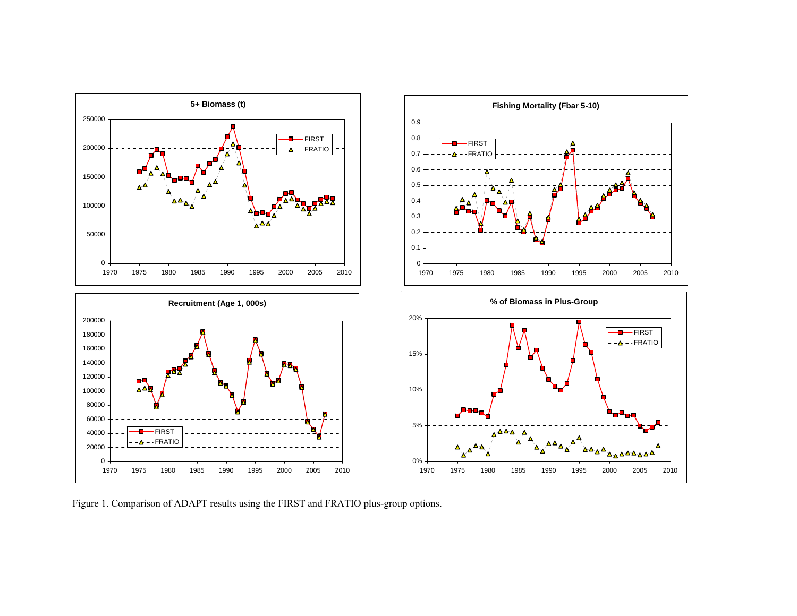

Figure 1. Comparison of ADAPT results using the FIRST and FRATIO plus-group options.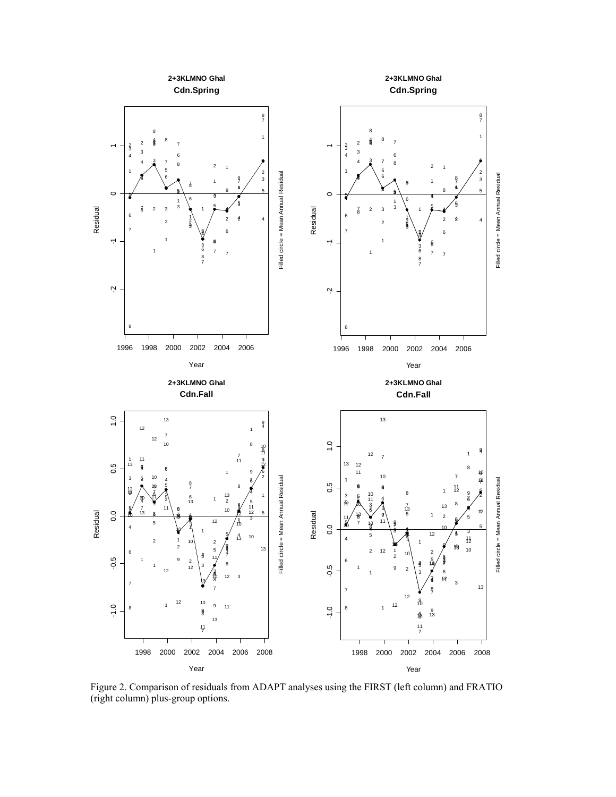

Figure 2. Comparison of residuals from ADAPT analyses using the FIRST (left column) and FRATIO (right column) plus-group options.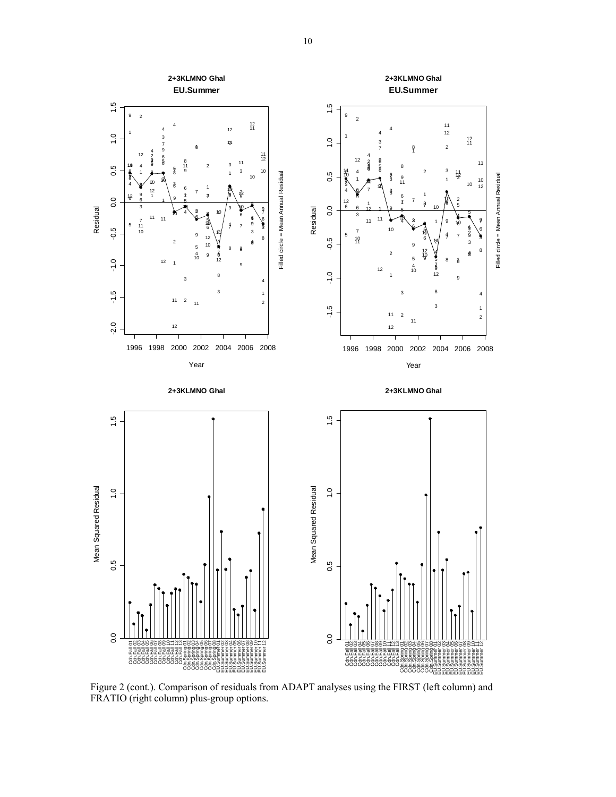

Figure 2 (cont.). Comparison of residuals from ADAPT analyses using the FIRST (left column) and FRATIO (right column) plus-group options.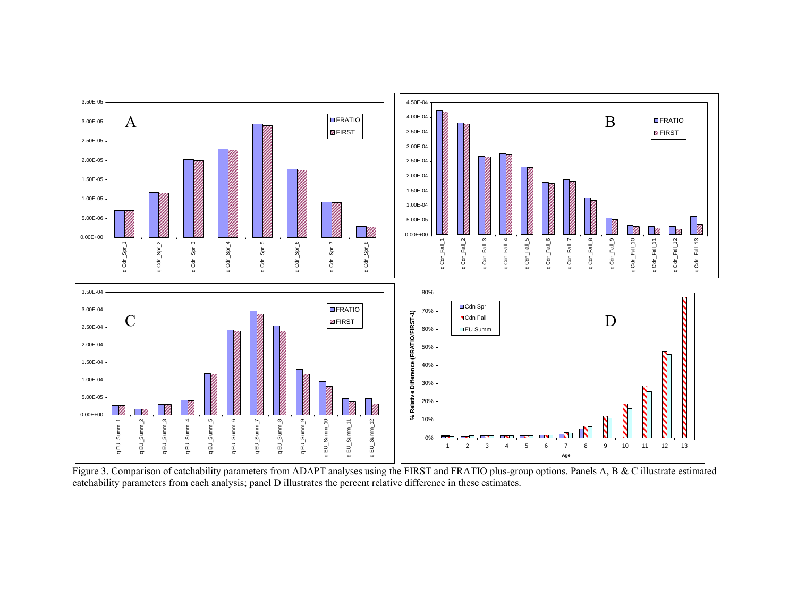

Figure 3. Comparison of catchability parameters from ADAPT analyses using the FIRST and FRATIO plus-group options. Panels A, B & C illustrate estimated catchability parameters from each analysis; panel D illustrates the percent relative difference in these estimates.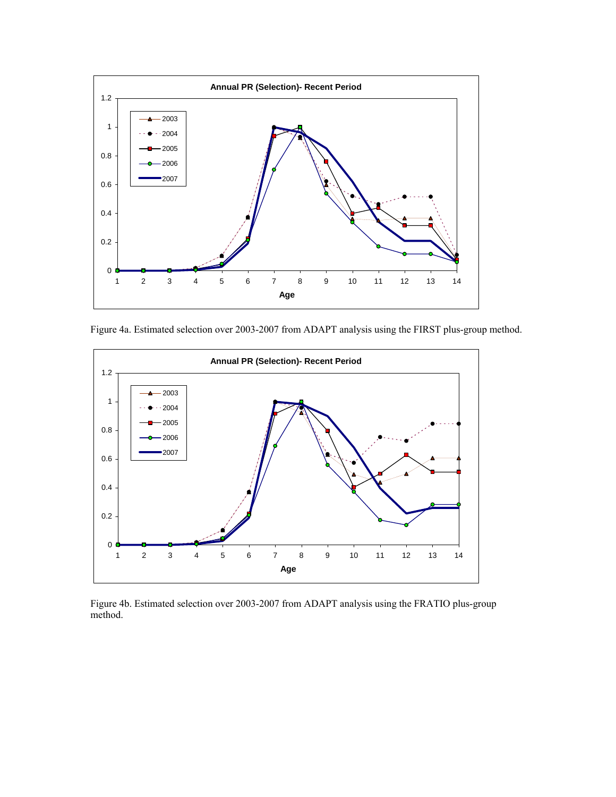

Figure 4a. Estimated selection over 2003-2007 from ADAPT analysis using the FIRST plus-group method.



Figure 4b. Estimated selection over 2003-2007 from ADAPT analysis using the FRATIO plus-group method.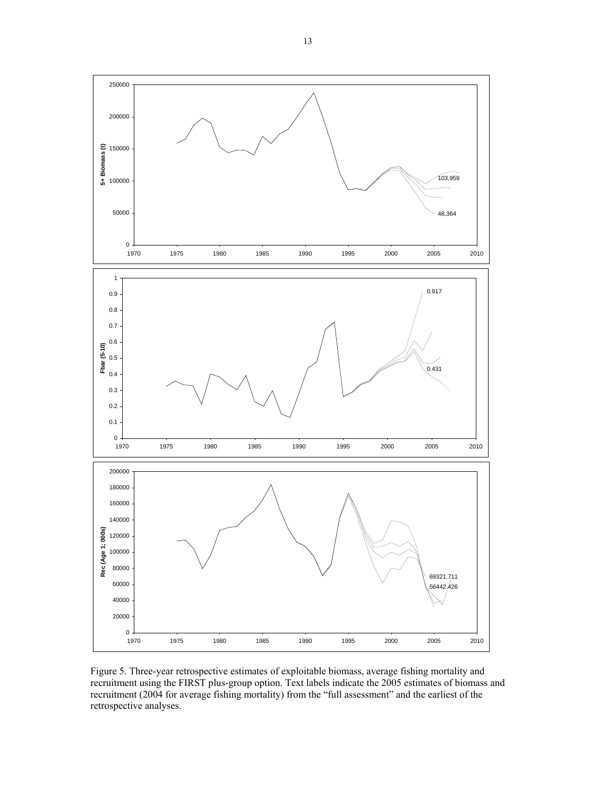

Figure 5. Three-year retrospective estimates of exploitable biomass, average fishing mortality and recruitment using the FIRST plus-group option. Text labels indicate the 2005 estimates of biomass and recruitment (2004 for average fishing mortality) from the "full assessment" and the earliest of the retrospective analyses.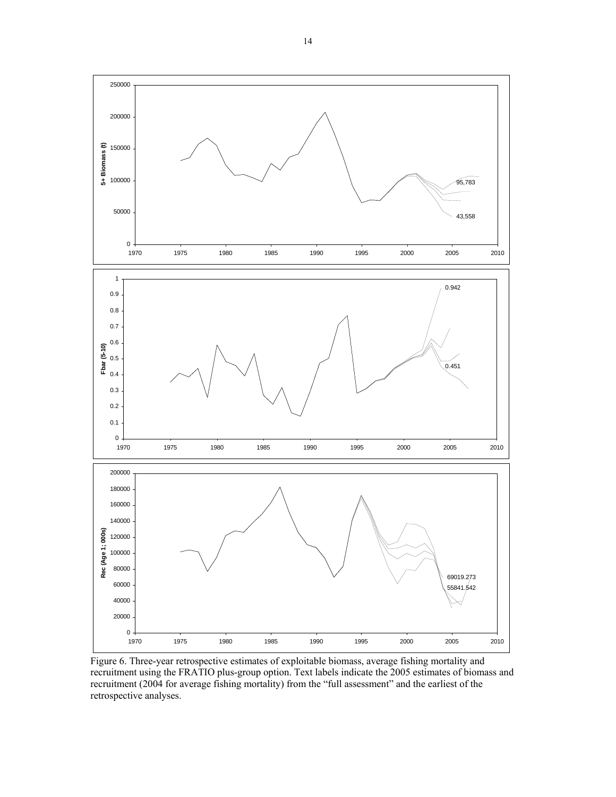

Figure 6. Three-year retrospective estimates of exploitable biomass, average fishing mortality and recruitment using the FRATIO plus-group option. Text labels indicate the 2005 estimates of biomass and recruitment (2004 for average fishing mortality) from the "full assessment" and the earliest of the retrospective analyses.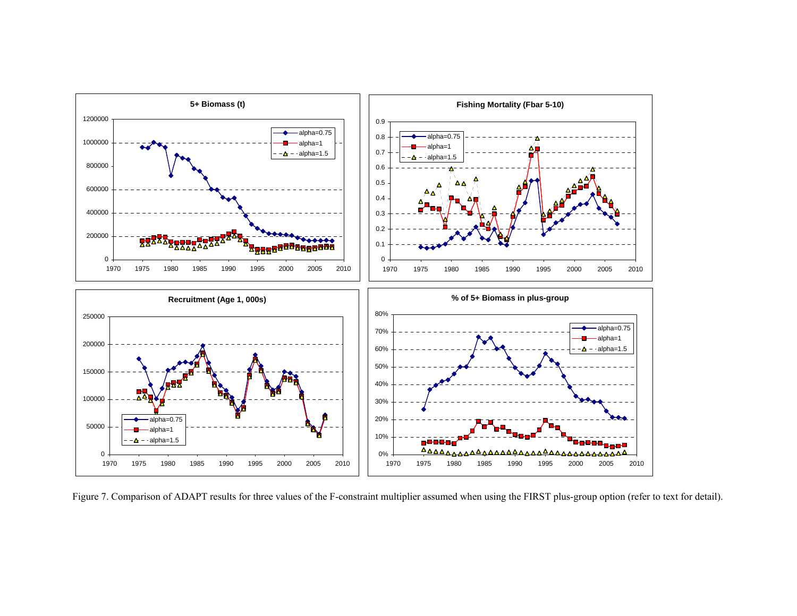

Figure 7. Comparison of ADAPT results for three values of the F-constraint multiplier assumed when using the FIRST plus-group option (refer to text for detail).